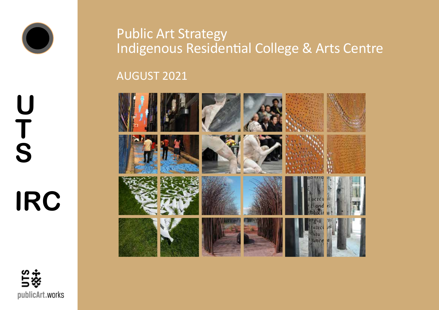

# **U T S IRC**

# Public Art Strategy Indigenous Residential College & Arts Centre

AUGUST 2021



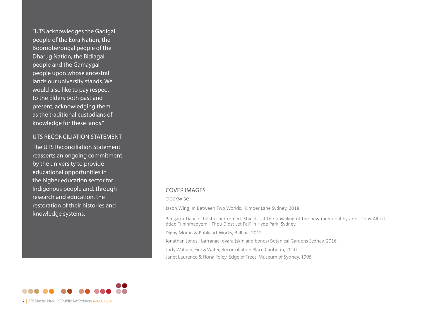"UTS acknowledges the Gadigal people of the Eora Nation, the Boorooberongal people of the Dharug Nation, the Bidiagal people and the Gamaygal people upon whose ancestral lands our university stands. We would also like to pay respect to the Elders both past and present, acknowledging them as the traditional custodians of knowledge for these lands."

### UTS RECONCILIATION STATEMENT

The UTS Reconciliation Statement reasserts an ongoing commitment by the university to provide educational opportunities in the higher education sector for Indigenous people and, through research and education, the restoration of their histories and knowledge systems.

### COVER IMAGES

clockwise:

Jason Wing, In Between Two Worlds, Kimber Lane Sydney, 2018

Bangarra Dance Theatre performed 'Shields' at the unveiling of the new memorial by artist Tony Albert titled 'Yininmadyemi - Thou Didst Let Fall' in Hyde Park, Sydney.

Digby Moran & Publicart Works, Ballina, 2012

Jonathan Jones, barrangal dyara (skin and bones) Botanical Gardens Sydney, 2016

Judy Watson, Fire & Water, Reconciliation Place Canberra, 2010 Janet Laurence & Fiona Foley, Edge of Trees, Museum of Sydney, 1995

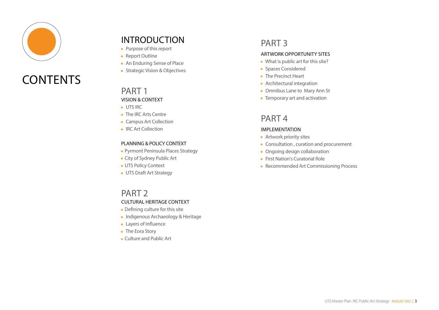

# **CONTENTS**

# INTRODUCTION

- Purpose of this report
- Report Outline
- An Enduring Sense of Place
- Strategic Vision & Objectives

### PART 1 VISION & CONTEXT

- UTS IRC
- The IRC Arts Centre
- Campus Art Collection
- IRC Art Collection

### PLANNING & POLICY CONTEXT

- Pyrmont Peninsula Places Strategy
- City of Sydney Public Art
- UTS Policy Context
- UTS Draft Art Strategy

### PART<sub>2</sub> CULTURAL HERITAGE CONTEXT

- Defining culture for this site
- Indigenous Archaeology & Heritage
- Layers of Influence
- The Eora Story
- Culture and Public Art

# PART 3

### ARTWORK OPPORTUNITY SITES

- What is public art for this site?
- Spaces Considered
- The Precinct Heart
- Architectural integration
- Omnibus Lane to Mary Ann St
- Temporary art and activation

### PART 4

### IMPLEMENTATION

- Artwork priority sites
- Consultation , curation and procurement
- Ongoing design collaboration
- First Nation's Curatorial Role
- Recommended Art Commissioning Process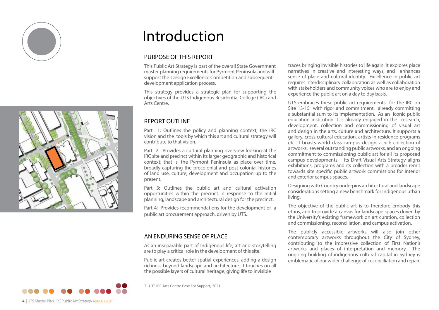



# Introduction

### PURPOSE OF THIS REPORT

This Public Art Strategy is part of the overall State Government master planning requirements for Pyrmont Peninsula and will support the Design Excellence Competition and subsequent development application process.

This strategy provides a strategic plan for supporting the objectives of the UTS Indigenous Residential College (IRC) and Arts Centre.

### **REPORT OUTLINE**

Part 1: Outlines the policy and planning context, the IRC vision and the tools by which this art and cultural strategy will contribute to that vision.

Part 2: Provides a cultural planning overview looking at the IRC site and precinct within its larger geographic and historical context; that is, the Pyrmont Peninsula as place over time, broadly capturing the precolonial and post colonial histories of land use, culture, development and occupation up to the present.

Part 3: Outlines the public art and cultural activation opportunities within the precinct in response to the initial planning, landscape and architectural design for the precinct.

Part 4: Provides recommendations for the development of a public art procurement approach, driven by UTS.

### AN ENDURING SENSE OF PLACE

As an inseparable part of Indigenous life, art and storytelling are to play a critical role in the development of this site.<sup>1</sup>

Public art creates better spatial experiences, adding a design richness beyond landscape and architecture. It touches on all the possible layers of cultural heritage, giving life to invisible

1 UTS IRC Arts Centre Case For Support, 2021

traces bringing invisible histories to life again. It explores place narratives in creative and interesting ways, and enhances sense of place and cultural identity. Excellence in public art requires interdisciplinary collaboration as well as collaboration with stakeholders and community voices who are to enjoy and experience the public art on a day to day basis.

UTS embraces these public art requirements for the IRC on Site 13-15 with rigor and commitment, already committing a substantial sum to its implementation. As an iconic public education institution it is already engaged in the research, development, collection and commissioning of visual art and design in the arts, culture and architecture. It supports a gallery, cross cultural education, artists in residence programs etc. It boasts world class campus design, a rich collection of artworks, several outstanding public artworks, and an ongoing commitment to commissioning public art for all its proposed campus developments. Its Draft Visual Arts Strategy aligns exhibitions, programs and its collection with a broader remit towards site specific public artwork commissions for interior and exterior campus spaces.

Designing with Country underpins architectural and landscape considerations setting a new benchmark for Indigenous urban living.

The objective of the public art is to therefore embody this ethos, and to provide a canvas for landscape spaces driven by the University's existing framework on art curation, collection and commissioning, reconciliation, and campus activation.

The publicly accessible artworks will also join other contemporary artworks throughout the City of Sydney, contributing to the impressive collection of First Nation's artworks and places of interpretation and memory. The ongoing building of indigenous cultural capital in Sydney is emblematic of our wider challenge of reconciliation and repair.

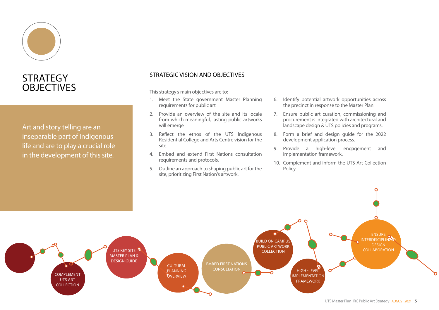

# **STRATEGY OBJECTIVES**

Art and story telling are an inseparable part of Indigenous life and are to play a crucial role in the development of this site.

### STRATEGIC VISION AND OBJECTIVES

This strategy's main objectives are to:

- 1. Meet the State government Master Planning requirements for public art
- 2. Provide an overview of the site and its locale from which meaningful, lasting public artworks will emerge
- 3. Reflect the ethos of the UTS Indigenous Residential College and Arts Centre vision for the site.
- 4. Embed and extend First Nations consultation requirements and protocols.
- 5. Outline an approach to shaping public art for the site, prioritizing First Nation's artwork.
- 6. Identify potential artwork opportunities across the precinct in response to the Master Plan.
- 7. Ensure public art curation, commissioning and procurement is integrated with architectural and landscape design & UTS policies and programs.
- 8. Form a brief and design guide for the 2022 development application process.
- 9. Provide a high-level engagement and implementation framework.
- 10. Complement and inform the UTS Art Collection Policy

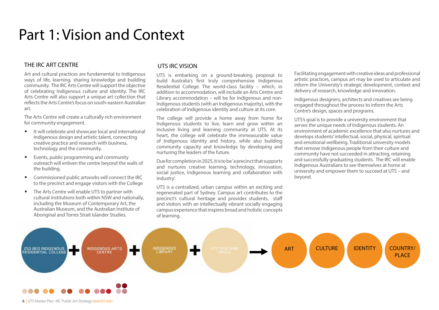# Part 1: Vision and Context

### THE IRC ART CENTRE

Art and cultural practices are fundamental to Indigenous ways of life, learning, sharing knowledge and building community. The IRC Arts Centre will support the objective of celebrating Indigenous culture and identity. The IRC Arts Centre will also support a unique art collection that reflects the Arts Centre's focus on south-eastern Australian art.

The Arts Centre will create a culturally rich environment for community engagement.

- It will celebrate and showcase local and international Indigenous design and artistic talent, connecting creative practice and research with business, technology and the community.
- Events, public programming and community outreach will enliven the centre beyond the walls of the building.
- Commissioned public artworks will connect the IRC to the precinct and engage visitors with the College
- The Arts Centre will enable UTS to partner with cultural institutions both within NSW and nationally, including the Museum of Contemporary Art, the Australian Museum, and the Australian Institute of Aboriginal and Torres Strait Islander Studies.

### UTS IRC VISION

UTS is embarking on a ground-breaking proposal to build Australia's first truly comprehensive Indigenous Residential College. The world-class facility – which, in addition to accommodation, will include an Arts Centre and Library accommodation – will be for Indigenous and non-Indigenous students (with an Indigenous majority), with the celebration of Indigenous identity and culture at its core.

The college will provide a home away from home for Indigenous students to live, learn and grow within an inclusive living and learning community at UTS. At its heart, the college will celebrate the immeasurable value of Indigenous identity and history, while also building community capacity and knowledge by developing and nurturing the leaders of the future.

Due for completion in 2025, it is to be 'a precinct that supports and nurtures creative learning, technology, innovation, social justice, Indigenous learning and collaboration with industry'.

UTS is a centralized, urban campus within an exciting and regenerated part of Sydney. Campus art contributes to the precinct's cultural heritage and provides students, staff and visitors with an intellectually vibrant socially engaging campus experience that inspires broad and holistic concepts of learning.

Facilitating engagement with creative ideas and professional artistic practices, campus art may be used to articulate and inform the University's strategic development, context and delivery of research, knowledge and innovation.

Indigenous designers, architects and creatives are being engaged throughout the process to inform the Arts Centre's design, spaces and programs.

UTS's goal is to provide a university environment that serves the unique needs of Indigenous students. An environment of academic excellence that also nurtures and develops students' intellectual, social, physical, spiritual and emotional wellbeing. Traditional university models that remove Indigenous people from their culture and community have not succeeded in attracting, retaining and successfully graduating students. The IRC will enable Indigenous Australians to see themselves at home at university and empower them to succeed at UTS – and beyond.

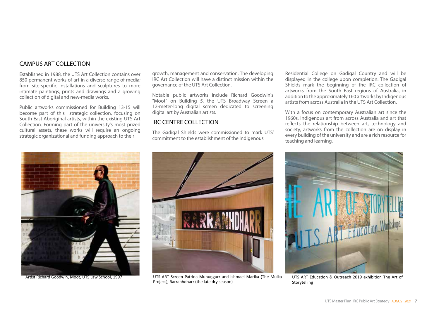### CAMPUS ART COLLECTION

Established in 1988, the UTS Art Collection contains over 850 permanent works of art in a diverse range of media; from site-specific installations and sculptures to more intimate paintings, prints and drawings and a growing collection of digital and new-media works.

Public artworks commissioned for Building 13-15 will become part of this strategic collection, focusing on South East Aboriginal artists, within the existing UTS Art Collection. Forming part of the university's most prized cultural assets, these works will require an ongoing strategic organizational and funding approach to their

growth, management and conservation. The developing IRC Art Collection will have a distinct mission within the governance of the UTS Art Collection.

Notable public artworks include Richard Goodwin's "Moot" on Building 5, the UTS Broadway Screen a 12-meter-long digital screen dedicated to screening digital art by Australian artists.

### IRC CENTRE COLLECTION

The Gadigal Shields were commissioned to mark UTS' commitment to the establishment of the Indigenous

Residential College on Gadigal Country and will be displayed in the college upon completion. The Gadigal Shields mark the beginning of the IRC collection of artworks from the South East regions of Australia, in addition to the approximately 160 artworks by Indigenous artists from across Australia in the UTS Art Collection.

With a focus on contemporary Australian art since the 1960s, Indigenous art from across Australia and art that reflects the relationship between art, technology and society, artworks from the collection are on display in every building of the university and are a rich resource for teaching and learning.





Artist Richard Goodwin, Moot, UTS Law School, 1997 **WET ALT SCREEN Patrina Munungurr and Ishmael Marika** (The Mulka UTS ART Education & Outreach 2019 exhibition The Art of Project), Rarranhdharr (the late dry season)



Storytelling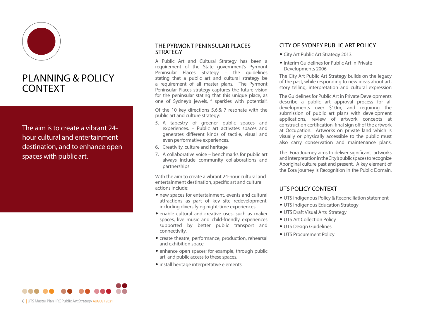

### PLANNING & POLICY CONTEXT

The aim is to create a vibrant 24 hour cultural and entertainment destination, and to enhance open spaces with public art.

### THE PYRMONT PENINSULAR PLACES **STRATEGY**

A Public Art and Cultural Strategy has been a requirement of the State government's Pyrmont Peninsular Places Strategy – the guidelines stating that a public art and cultural strategy be a requirement of all master plans. The Pyrmont Peninsular Places strategy captures the future vision for the peninsular stating that this unique place, as one of Sydney's jewels, " sparkles with potential".

Of the 10 key directions 5.6.& 7 resonate with the public art and culture strategy:

- 5. A tapestry of greener public spaces and experiences. – Public art activates spaces and generates different kinds of tactile, visual and even performative experiences.
- 6. Creativity, culture and heritage
- 7. A collaborative voice benchmarks for public art always include community collaborations and partnerships.

With the aim to create a vibrant 24-hour cultural and entertainment destination, specific art and cultural actions include:

- new spaces for entertainment, events and cultural attractions as part of key site redevelopment, including diversifying night-time experiences.
- enable cultural and creative uses, such as maker spaces, live music and child-friendly experiences supported by better public transport and connectivity.
- create theatre, performance, production, rehearsal and exhibition space
- enhance open spaces; for example, through public art, and public access to these spaces.
- install heritage interpretative elements

### CITY OF SYDNEY PUBLIC ART POLICY

- City Art Public Art Strategy 2013
- Interim Guidelines for Public Art in Private Developments 2006

The City Art Public Art Strategy builds on the legacy of the past, while responding to new ideas about art, story telling, interpretation and cultural expression

The Guidelines for Public Art in Private Developments describe a public art approval process for all developments over \$10m, and requiring the submission of public art plans with development applications, review of artwork concepts at construction certification, final sign off of the artwork at Occupation. Artworks on private land which is visually or physically accessible to the public must also carry conservation and maintenance plans.

The Eora Journey aims to deliver significant artworks and interpretation in the City's public spaces to recognize Aboriginal culture past and present. A key element of the Eora journey is Recognition in the Public Domain.

### UTS POLICY CONTEXT

- UTS indigenous Policy & Reconciliation statement
- UTS Indigenous Education Strategy
- UTS Draft Visual Arts Strategy
- UTS Art Collection Policy
- UTS Design Guidelines
- UTS Procurement Policy

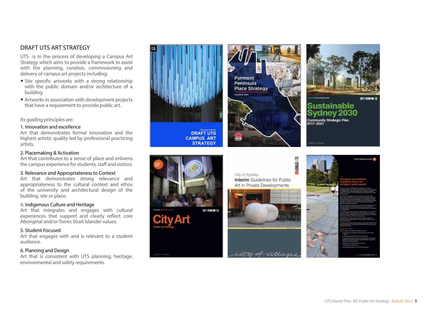### DRAFT UTS ART STRATEGY

UTS is in the process of developing a Campus Art Strategy which aims to provide a framework to assist with the planning, curation, commissioning and delivery of campus art projects including:

- Site specific artworks with a strong relationship with the public domain and/or architecture of a building
- Artworks in association with development projects that have a requirement to provide public art.

Its guiding principles are:

### 1. Innovation and excellence

Art that demonstrates formal innovation and the highest artistic quality led by professional practicing artists.

#### 2. Placemaking & Activation

Art that contributes to a sense of place and enlivens the campus experience for students, staff and visitors.

### 3. Relevance and Appropriateness to Context

Art that demonstrates strong relevance and appropriateness to the cultural context and ethos of the university and architectural design of the building, site or place.

### 4. Indigenous Culture and Heritage

Art that integrates and engages with cultural experiences that support and clearly reflect core Aboriginal and/or Torres Strait Islander values.

#### 5. Student Focused

Art that engages with and is relevant to a student audience.

#### 6. Planning and Design

Art that is consistent with UTS planning, heritage, environmental and safety requirements.







### Sustainable Sydney 2030 Community Strategic Plan

**DRAFT UTS CAMPUS ART STRATEGY** 



**BINERS** City of Sydney Interim Guidelines for Public Art in Private Developments



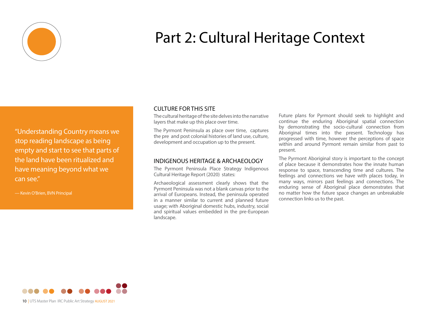

# Part 2: Cultural Heritage Context

"Understanding Country means we stop reading landscape as being empty and start to see that parts of the land have been ritualized and have meaning beyond what we can see."

— Kevin O'Brien, BVN Principal

### CULTURE FOR THIS SITE

The cultural heritage of the site delves into the narrative layers that make up this place over time.

The Pyrmont Peninsula as place over time, captures the pre and post colonial histories of land use, culture, development and occupation up to the present.

### INDIGENOUS HERITAGE & ARCHAEOLOGY

The Pyrmont Peninsula Place Strategy Indigenous Cultural Heritage Report (2020) states:

Archaeological assessment clearly shows that the Pyrmont Peninsula was not a blank canvas prior to the arrival of Europeans. Instead, the peninsula operated in a manner similar to current and planned future usage; with Aboriginal domestic hubs, industry, social and spiritual values embedded in the pre-European landscape.

Future plans for Pyrmont should seek to highlight and continue the enduring Aboriginal spatial connection by demonstrating the socio-cultural connection from Aboriginal times into the present. Technology has progressed with time, however the perceptions of space within and around Pyrmont remain similar from past to present.

The Pyrmont Aboriginal story is important to the concept of place because it demonstrates how the innate human response to space, transcending time and cultures. The feelings and connections we have with places today, in many ways, mirrors past feelings and connections. The enduring sense of Aboriginal place demonstrates that no matter how the future space changes an unbreakable connection links us to the past.

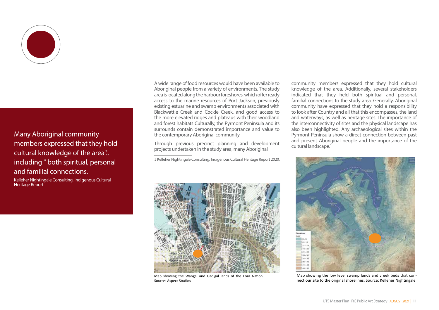

### Many Aboriginal community members expressed that they hold cultural knowledge of the area".. including " both spiritual, personal and familial connections.

Kelleher Nightingale Consulting, Indigenous Cultural Heritage Report

A wide range of food resources would have been available to Aboriginal people from a variety of environments. The study area is located along the harbour foreshores, which offer ready access to the marine resources of Port Jackson, previously existing estuarine and swamp environments associated with Blackwattle Creek and Cockle Creek, and good access to the more elevated ridges and plateaus with their woodland and forest habitats Culturally, the Pyrmont Peninsula and its surrounds contain demonstrated importance and value to the contemporary Aboriginal community.

Through previous precinct planning and development projects undertaken in the study area, many Aboriginal

1 Kelleher Nightingale Consulting, Indigenous Cultural Heritage Report 2020,



Map showing the Wangal and Gadigal lands of the Eora Nation. Source: Aspect Studios

community members expressed that they hold cultural knowledge of the area. Additionally, several stakeholders indicated that they held both spiritual and personal, familial connections to the study area. Generally, Aboriginal community have expressed that they hold a responsibility to look after Country and all that this encompasses, the land and waterways, as well as heritage sites. The importance of the interconnectivity of sites and the physical landscape has also been highlighted. Any archaeological sites within the Pyrmont Peninsula show a direct connection between past and present Aboriginal people and the importance of the cultural landscape.<sup>1</sup>



Map showing the low level swamp lands and creek beds that connect our site to the original shorelines. Source: Kelleher Nightingale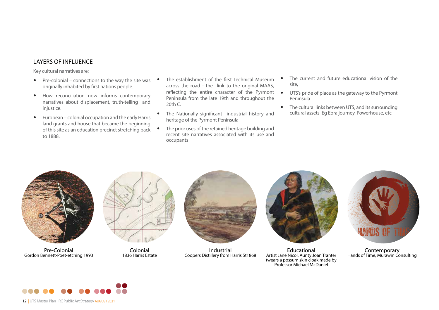### LAYERS OF INFLUENCE

Key cultural narratives are:

- Pre-colonial connections to the way the site was originally inhabited by first nations people.
- How reconciliation now informs contemporary narratives about displacement, truth-telling and injustice.
- European colonial occupation and the early Harris land grants and house that became the beginning of this site as an education precinct stretching back to 1888.
- The establishment of the first Technical Museum across the road - the link to the original MAAS, reflecting the entire character of the Pyrmont Peninsula from the late 19th and throughout the  $20th C$
- The Nationally significant industrial history and heritage of the Pyrmont Peninsula
- The prior uses of the retained heritage building and recent site narratives associated with its use and occupants
- The current and future educational vision of the site,
- UTS's pride of place as the gateway to the Pyrmont Peninsula
- The cultural links between UTS, and its surrounding cultural assets Eg Eora journey, Powerhouse, etc



Pre-Colonial Gordon Bennett-Poet-etching 1993



Colonial 1836 Harris Estate



Industrial Coopers Distillery from Harris St1868



Educational Artist Jane Nicol, Aunty Joan Tranter (wears a possum skin cloak made by Professor Michael McDaniel



Contemporary Hands of Time, Murawin Consulting



12 | UTS Master Plan IRC Public Art Strategy AUGUST 2021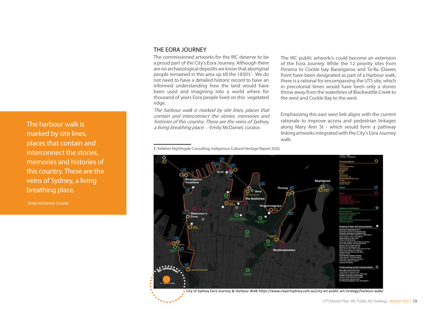The harbour walk is marked by site lines, places that contain and interconnect the stories, memories and histories of this country. These are the veins of Sydney, a living breathing place.

Emily McDaniel, Curator

### THE EORA JOURNEY

The commissioned artworks for the IRC deserve to be a proud part of the City's Eora Journey. Although there are no archaeological deposits we know that aboriginal people remained in this area up till the 1830's<sup>1</sup>. We do not need to have a detailed historic record to have an informed understanding how the land would have been used and imagining into a world where for thousand of years Eora people lived on this vegetated ridge.

The harbour walk is marked by site lines, places that contain and interconnect the stories, memories and histories of this country. These are the veins of Sydney, a living breathing place. . - Emily McDaniel, curator.

1. Kelleher Nightingale Consulting, Indigenous Cultural Heritage Report 2020,

The IRC public artwork/s could become an extension of the Eora Journey. While the 12 priority sites from Pirrama to Cockle bay Barangaroo and Ta-Ra (Dawes Point have been designated as part of a Harbour walk, there is a rational for encompassing the UTS site, which in precolonial times would have been only a stones throw away from the waterlines of Blackwattle Creek to the west and Cockle Bay to the west.

Emphasizing this east west link aligns with the current rationale to improve access and pedestrian linkages along Mary Ann St - which would form a pathway linking artworks integrated with the City's Eora Journey walk.



City of Sydney Eora Journey & Harbour Walk https://www.cityartsydney.com.au/city-art-public-art-strategy/harbour-walk/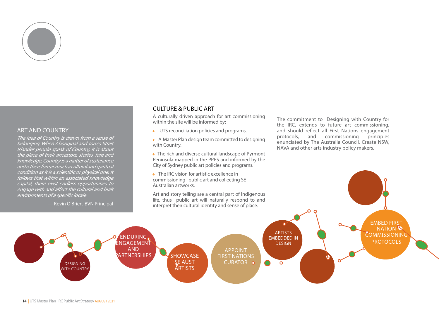

### ART AND COUNTRY

The idea of Country is drawn from a sense of belonging. When Aboriginal and Torres Strait Islander people speak of Country, it is about the place of their ancestors, stories, lore and knowledge. Country is a matter of sustenance and is therefore as much a cultural and spiritual condition as it is a scientific or physical one. It follows that within an associated knowledge capital, there exist endless opportunities to engage with and affect the cultural and built environments of a specific locale

### CULTURE & PUBLIC ART

A culturally driven approach for art commissioning within the site will be informed by:

• UTS reconciliation policies and programs.

• A Master Plan design team committed to designing with Country.

• The rich and diverse cultural landscape of Pyrmont Peninsula mapped in the PPPS and informed by the City of Sydney public art policies and programs.

• The IRC vision for artistic excellence in commissioning public art and collecting SE Australian artworks.

Art and story telling are a central part of Indigenous life, thus public art will naturally respond to and The commitment to Designing with Country for the IRC, extends to future art commissioning, and should reflect all First Nations engagement protocols, and commissioning principles enunciated by The Australia Council, Create NSW, NAVA and other arts industry policy makers.

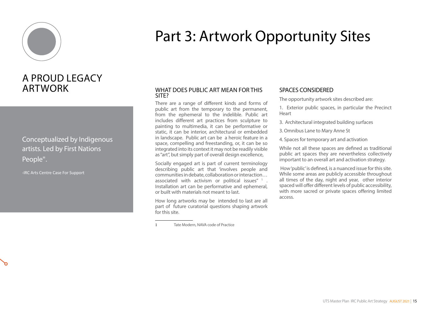

# Part 3: Artwork Opportunity Sites

# A PROUD LEGACY ARTWORK

Conceptualized by Indigenous artists. Led by First Nations People".

-IRC Arts Centre Case For Support

### WHAT DOES PUBLIC ART MEAN FOR THIS SITE?

There are a range of different kinds and forms of public art from the temporary to the permanent, from the ephemeral to the indelible. Public art includes different art practices from sculpture to painting to multimedia, it can be performative or static, it can be interior, architectural or embedded in landscape. Public art can be a heroic feature in a space, compelling and freestanding, or, it can be so integrated into its context it may not be readily visible as "art", but simply part of overall design excellence,

Socially engaged art is part of current terminology describing public art that 'involves people and communities in debate, collaboration or interaction… associated with activism or political issues" $1$ . Installation art can be performative and ephemeral, or built with materials not meant to last.

How long artworks may be intended to last are all part of future curatorial questions shaping artwork for this site.

### SPACES CONSIDERED

The opportunity artwork sites described are:

1. Exterior public spaces, in particular the Precinct **Heart** 

3. Architectural integrated building surfaces

3. Omnibus Lane to Mary Anne St

4. Spaces for temporary art and activation

While not all these spaces are defined as traditional public art spaces they are nevertheless collectively important to an overall art and activation strategy.

 How 'public' is defined, is a nuanced issue for this site. While some areas are publicly accessible throughout all times of the day, night and year, other interior spaced will offer different levels of public accessibility, with more sacred or private spaces offering limited access.

Tate Modern, NAVA code of Practice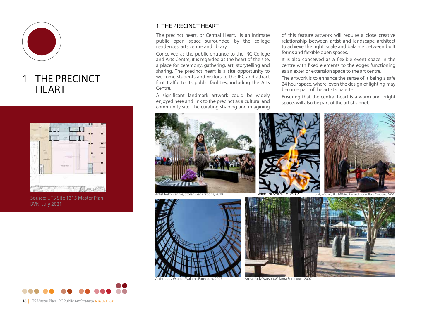

### 1 THE PRECINCT **HFART**



Source: UTS Site 1315 Master Plan, BVN, July 2021



The precinct heart, or Central Heart, is an intimate public open space surrounded by the college residences, arts centre and library.

Conceived as the public entrance to the IRC College and Arts Centre, it is regarded as the heart of the site, a place for ceremony, gathering, art, storytelling and sharing. The precinct heart is a site opportunity to welcome students and visitors to the IRC and attract foot traffic to its public facilities, including the Arts Centre.

A significant landmark artwork could be widely enjoyed here and link to the precinct as a cultural and community site. The curating shaping and imagining

of this feature artwork will require a close creative relationship between artist and landscape architect to achieve the right scale and balance between built forms and flexible open spaces.

It is also conceived as a flexible event space in the centre with fixed elements to the edges functioning as an exterior extension space to the art centre.

The artwork is to enhance the sense of it being a safe 24 hour space, where even the design of lighting may become part of the artist's palette.

Ensuring that the central heart is a warm and bright space, will also be part of the artist's brief.





16 | UTS Master Plan IRC Public Art Strategy AUGUST 2021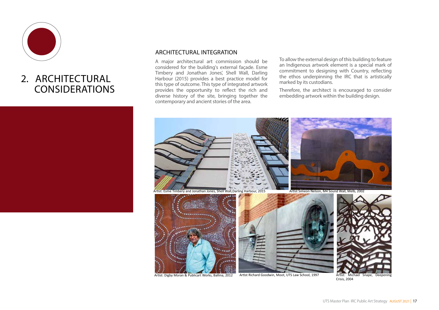

# 2. ARCHITECTURAL CONSIDERATIONS

### ARCHITECTURAL INTEGRATION

A major architectural art commission should be considered for the building's external façade. Esme Timbery and Jonathan Jones', Shell Wall, Darling Harbour (2015) provides a best practice model for this type of outcome. This type of integrated artwork provides the opportunity to reflect the rich and diverse history of the site, bringing together the contemporary and ancient stories of the area.

To allow the external design of this building to feature an Indigenous artwork element is a special mark of commitment to designing with Country, reflecting the ethos underpinning the IRC that is artistically marked by its custodians.

Therefore, the architect is encouraged to consider embedding artwork within the building design.



Artist Richard Goodwin, Moot, UTS Law School, 1997

Crisis, 2004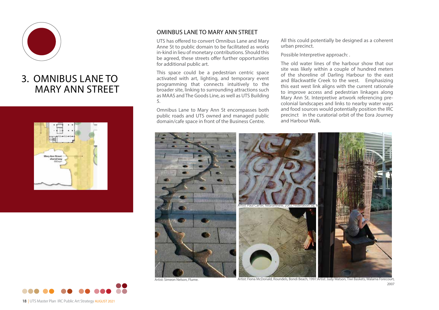

# 3. OMNIBUS LANE TO MARY ANN STRFFT



### OMINBUS LANE TO MARY ANN STREET

UTS has offered to convert Omnibus Lane and Mary Anne St to public domain to be facilitated as works in-kind in lieu of monetary contributions. Should this be agreed, these streets offer further opportunities for additional public art.

This space could be a pedestrian centric space activated with art, lighting, and temporary event programming that connects intuitively to the broader site, linking to surrounding attractions such as MAAS and The Goods Line, as well as UTS Building 5.

Omnibus Lane to Mary Ann St encompasses both public roads and UTS owned and managed public domain/cafe space in front of the Business Centre.

All this could potentially be designed as a coherent urban precinct.

Possible Interpretive approach: .

The old water lines of the harbour show that our site was likely within a couple of hundred meters of the shoreline of Darling Harbour to the east and Blackwattle Creek to the west. Emphasizing this east west link aligns with the current rationale to improve access and pedestrian linkages along Mary Ann St. Interpretive artwork referencing precolonial landscapes and links to nearby water ways and food sources would potentially position the IRC precinct in the curatorial orbit of the Eora Journey and Harbour Walk.



Artist: Judy Watson, Tiwi Baskets, Walama Forecourt, Artist: Simeon Nelson, Flume. Artist: Fiona McDonald, Roundels, Bondi Beach, 1997.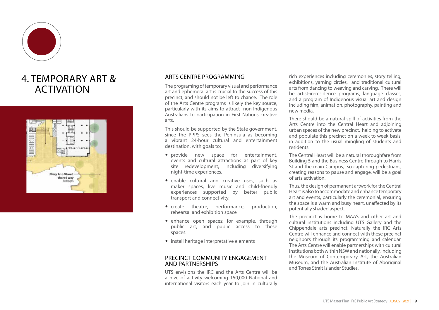

## 4. TEMPORARY ART & ACTIVATION



### ARTS CENTRE PROGRAMMING

The programing of temporary visual and performance art and ephemeral art is crucial to the success of this precinct, and should not be left to chance. The role of the Arts Centre programs is likely the key source, particularly with its aims to attract non-Indigenous Australians to participation in First Nations creative arts.

This should be supported by the State government, since the PPPS sees the Peninsula as becoming a vibrant 24-hour cultural and entertainment destination, with goals to:

- provide new space for entertainment, events and cultural attractions as part of key site redevelopment, including diversifying night-time experiences.
- enable cultural and creative uses, such as maker spaces, live music and child-friendly experiences supported by better public transport and connectivity.
- create theatre, performance, production, rehearsal and exhibition space
- enhance open spaces; for example, through public art, and public access to these spaces.
- install heritage interpretative elements

#### PRECINCT COMMUNITY ENGAGEMENT AND PARTNERSHIPS

UTS envisions the IRC and the Arts Centre will be a hive of activity welcoming 150,000 National and international visitors each year to join in culturally

rich experiences including ceremonies, story telling, exhibitions, yarning circles, and traditional cultural arts from dancing to weaving and carving. There will be artist-in-residence programs, language classes, and a program of Indigenous visual art and design including film, animation, photography, painting and new media.

There should be a natural spill of activities from the Arts Centre into the Central Heart and adjoining urban spaces of the new precinct, helping to activate and populate this precinct on a week to week basis, in addition to the usual mingling of students and residents.

The Central Heart will be a natural thoroughfare from Building 5 and the Business Centre through to Harris St and the main Campus, so capturing pedestrians. creating reasons to pause and engage, will be a goal of arts activation.

Thus, the design of permanent artwork for the Central Heart is also to accommodate and enhance temporary art and events, particularly the ceremonial, ensuring the space is a warm and busy heart, unaffected by its potentially shaded aspect.

The precinct is home to MAAS and other art and cultural institutions including UTS Gallery and the Chippendale arts precinct. Naturally the IRC Arts Centre will enhance and connect with these precinct neighbors through its programming and calendar. The Arts Centre will enable partnerships with cultural institutions both within NSW and nationally, including the Museum of Contemporary Art, the Australian Museum, and the Australian Institute of Aboriginal and Torres Strait Islander Studies.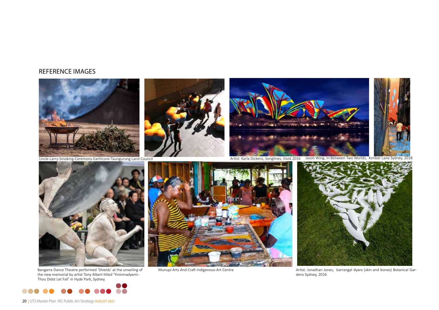### REFERENCE IMAGES







Uncle-Larry-Smoking-Ceremony-Earthcore-Taungurung Land Council The Council Council Artist: Karla Dickens, Songlines, Vivid 2016 Jason Wing, In Between Two Worlds, Kimber Lane Sydney, 2018



Bangarra Dance Theatre performed 'Shields' at the unveiling of the new memorial by artist Tony Albert titled 'Yininmadyemi - Thou Didst Let Fall' in Hyde Park, Sydney.





Munupi Arts And Craft Indigenous-Art Centre



Artist: Jonathan Jones, barrangal dyara (skin and bones) Botanical Gardens Sydney, 2016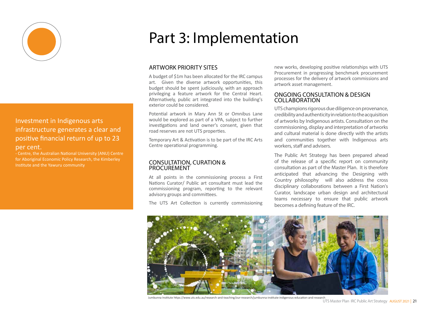

### Investment in Indigenous arts infrastructure generates a clear and positive financial return of up to 23 per cent.

- Centre, the Australian National University (ANU) Centre for Aboriginal Economic Policy Research, the Kimberley Institute and the Yawuru community

# Part 3: Implementation

### ARTWORK PRIORITY SITES

A budget of \$1m has been allocated for the IRC campus art. Given the diverse artwork opportunities, this budget should be spent judiciously, with an approach privileging a feature artwork for the Central Heart. Alternatively, public art integrated into the building's exterior could be considered.

Potential artwork in Mary Ann St or Omnibus Lane would be explored as part of a VPA, subject to further investigations and land owner's consent, given that road reserves are not UTS properties.

Temporary Art & Activation is to be part of the IRC Arts Centre operational programming.

#### CONSULTATION, CURATION & **PROCUREMENT**

At all points in the commissioning process a First Nations Curator/ Public art consultant must lead the commissioning program, reporting to the relevant advisory groups and committees.

The UTS Art Collection is currently commissioning

new works, developing positive relationships with UTS Procurement in progressing benchmark procurement processes for the delivery of artwork commissions and artwork asset management.

### ONGOING CONSULTATION & DESIGN COLLABORATION

UTS champions rigorous due diligence on provenance, credibility and authenticity in relation to the acquisition of artworks by Indigenous artists. Consultation on the commissioning, display and interpretation of artworks and cultural material is done directly with the artists and communities together with Indigenous arts workers, staff and advisers.

The Public Art Strategy has been prepared ahead of the release of a specific report on community consultation as part of the Master Plan. It is therefore anticipated that advancing the Designing with Country philosophy will also address the cross disciplinary collaborations between a First Nation's Curator, landscape urban design and architectural teams necessary to ensure that public artwork becomes a defining feature of the IRC.



Jumbunna Institute https://www.uts.edu.au/research-and-teaching/our-research/jumbunna-institute-indigenous-education-and-research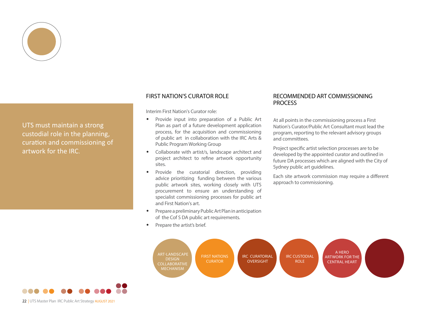

UTS must maintain a strong custodial role in the planning, curation and commissioning of artwork for the IRC.

### FIRST NATION'S CURATOR ROLE

Interim First Nation's Curator role:

- Provide input into preparation of a Public Art Plan as part of a future development application process, for the acquisition and commissioning of public art in collaboration with the IRC Arts & Public Program Working Group
- Collaborate with artist/s, landscape architect and project architect to refine artwork opportunity sites.
- Provide the curatorial direction, providing advice prioritizing funding between the various public artwork sites, working closely with UTS procurement to ensure an understanding of specialist commissioning processes for public art and First Nation's art.
- Prepare a preliminary Public Art Plan in anticipation of the Cof S DA public art requirements.
- Prepare the artist's brief.

### RECOMMENDED ART COMMISSIONING **PROCESS**

At all points in the commissioning process a First Nation's Curator/Public Art Consultant must lead the program, reporting to the relevant advisory groups and committees.

Project specific artist selection processes are to be developed by the appointed curator and outlined in future DA processes which are aligned with the City of Sydney public art guidelines.

Each site artwork commission may require a different approach to commissioning.





22 | UTS Master Plan IRC Public Art Strategy AUGUST 2021